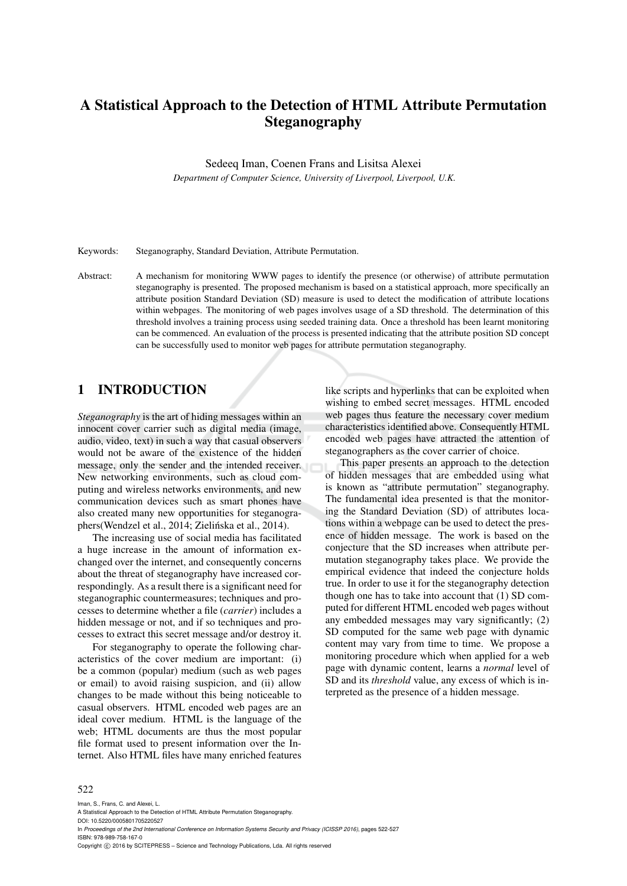# A Statistical Approach to the Detection of HTML Attribute Permutation Steganography

Sedeeq Iman, Coenen Frans and Lisitsa Alexei

*Department of Computer Science, University of Liverpool, Liverpool, U.K.*

Keywords: Steganography, Standard Deviation, Attribute Permutation.

Abstract: A mechanism for monitoring WWW pages to identify the presence (or otherwise) of attribute permutation steganography is presented. The proposed mechanism is based on a statistical approach, more specifically an attribute position Standard Deviation (SD) measure is used to detect the modification of attribute locations within webpages. The monitoring of web pages involves usage of a SD threshold. The determination of this threshold involves a training process using seeded training data. Once a threshold has been learnt monitoring can be commenced. An evaluation of the process is presented indicating that the attribute position SD concept can be successfully used to monitor web pages for attribute permutation steganography.

### 1 INTRODUCTION

*Steganography* is the art of hiding messages within an innocent cover carrier such as digital media (image, audio, video, text) in such a way that casual observers would not be aware of the existence of the hidden message, only the sender and the intended receiver. New networking environments, such as cloud computing and wireless networks environments, and new communication devices such as smart phones have also created many new opportunities for steganographers(Wendzel et al., 2014; Zielińska et al., 2014).

The increasing use of social media has facilitated a huge increase in the amount of information exchanged over the internet, and consequently concerns about the threat of steganography have increased correspondingly. As a result there is a significant need for steganographic countermeasures; techniques and processes to determine whether a file (*carrier*) includes a hidden message or not, and if so techniques and processes to extract this secret message and/or destroy it.

For steganography to operate the following characteristics of the cover medium are important: (i) be a common (popular) medium (such as web pages or email) to avoid raising suspicion, and (ii) allow changes to be made without this being noticeable to casual observers. HTML encoded web pages are an ideal cover medium. HTML is the language of the web; HTML documents are thus the most popular file format used to present information over the Internet. Also HTML files have many enriched features

like scripts and hyperlinks that can be exploited when wishing to embed secret messages. HTML encoded web pages thus feature the necessary cover medium characteristics identified above. Consequently HTML encoded web pages have attracted the attention of steganographers as the cover carrier of choice.

This paper presents an approach to the detection of hidden messages that are embedded using what is known as "attribute permutation" steganography. The fundamental idea presented is that the monitoring the Standard Deviation (SD) of attributes locations within a webpage can be used to detect the presence of hidden message. The work is based on the conjecture that the SD increases when attribute permutation steganography takes place. We provide the empirical evidence that indeed the conjecture holds true. In order to use it for the steganography detection though one has to take into account that (1) SD computed for different HTML encoded web pages without any embedded messages may vary significantly; (2) SD computed for the same web page with dynamic content may vary from time to time. We propose a monitoring procedure which when applied for a web page with dynamic content, learns a *normal* level of SD and its *threshold* value, any excess of which is interpreted as the presence of a hidden message.

#### 522

Iman, S., Frans, C. and Alexei, L. A Statistical Approach to the Detection of HTML Attribute Permutation Steganography. DOI: 10.5220/0005801705220527 In *Proceedings of the 2nd International Conference on Information Systems Security and Privacy (ICISSP 2016)*, pages 522-527 ISBN: 978-989-758-167-0

Copyright  $\odot$  2016 by SCITEPRESS - Science and Technology Publications, Lda. All rights reserved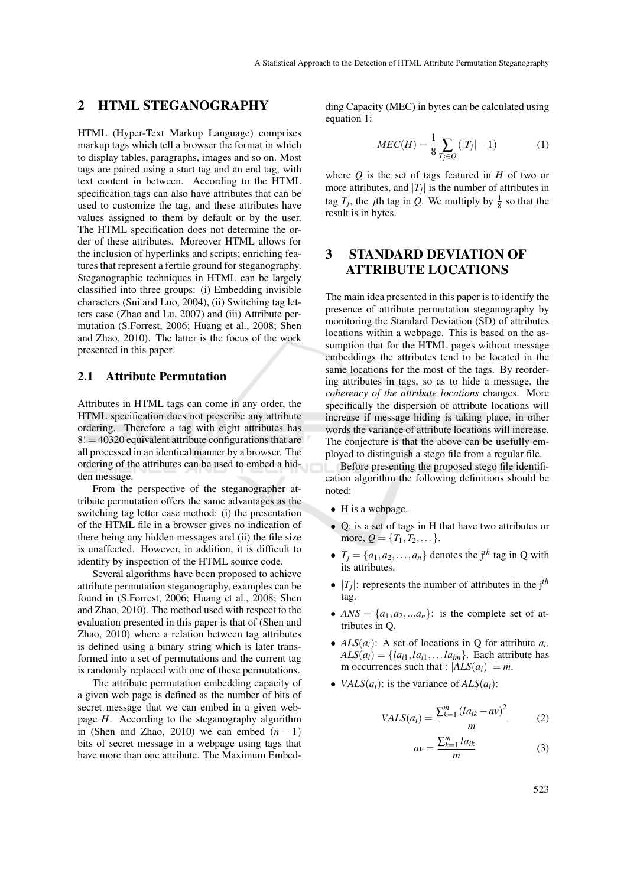### 2 HTML STEGANOGRAPHY

HTML (Hyper-Text Markup Language) comprises markup tags which tell a browser the format in which to display tables, paragraphs, images and so on. Most tags are paired using a start tag and an end tag, with text content in between. According to the HTML specification tags can also have attributes that can be used to customize the tag, and these attributes have values assigned to them by default or by the user. The HTML specification does not determine the order of these attributes. Moreover HTML allows for the inclusion of hyperlinks and scripts; enriching features that represent a fertile ground for steganography. Steganographic techniques in HTML can be largely classified into three groups: (i) Embedding invisible characters (Sui and Luo, 2004), (ii) Switching tag letters case (Zhao and Lu, 2007) and (iii) Attribute permutation (S.Forrest, 2006; Huang et al., 2008; Shen and Zhao, 2010). The latter is the focus of the work presented in this paper.

#### 2.1 Attribute Permutation

Attributes in HTML tags can come in any order, the HTML specification does not prescribe any attribute ordering. Therefore a tag with eight attributes has  $8! = 40320$  equivalent attribute configurations that are all processed in an identical manner by a browser. The ordering of the attributes can be used to embed a hidden message.

From the perspective of the steganographer attribute permutation offers the same advantages as the switching tag letter case method: (i) the presentation of the HTML file in a browser gives no indication of there being any hidden messages and (ii) the file size is unaffected. However, in addition, it is difficult to identify by inspection of the HTML source code.

Several algorithms have been proposed to achieve attribute permutation steganography, examples can be found in (S.Forrest, 2006; Huang et al., 2008; Shen and Zhao, 2010). The method used with respect to the evaluation presented in this paper is that of (Shen and Zhao, 2010) where a relation between tag attributes is defined using a binary string which is later transformed into a set of permutations and the current tag is randomly replaced with one of these permutations.

The attribute permutation embedding capacity of a given web page is defined as the number of bits of secret message that we can embed in a given webpage *H*. According to the steganography algorithm in (Shen and Zhao, 2010) we can embed  $(n - 1)$ bits of secret message in a webpage using tags that have more than one attribute. The Maximum Embedding Capacity (MEC) in bytes can be calculated using equation 1:

$$
MEC(H) = \frac{1}{8} \sum_{T_j \in Q} (|T_j| - 1)
$$
 (1)

where  $Q$  is the set of tags featured in  $H$  of two or more attributes, and  $|T_j|$  is the number of attributes in tag  $T_j$ , the *j*th tag in *Q*. We multiply by  $\frac{1}{8}$  so that the result is in bytes.

### 3 STANDARD DEVIATION OF ATTRIBUTE LOCATIONS

The main idea presented in this paper is to identify the presence of attribute permutation steganography by monitoring the Standard Deviation (SD) of attributes locations within a webpage. This is based on the assumption that for the HTML pages without message embeddings the attributes tend to be located in the same locations for the most of the tags. By reordering attributes in tags, so as to hide a message, the *coherency of the attribute locations* changes. More specifically the dispersion of attribute locations will increase if message hiding is taking place, in other words the variance of attribute locations will increase. The conjecture is that the above can be usefully employed to distinguish a stego file from a regular file.

Before presenting the proposed stego file identification algorithm the following definitions should be noted:

- H is a webpage.
- Q: is a set of tags in H that have two attributes or more,  $Q = \{T_1, T_2, ...\}$ .
- $T_i = \{a_1, a_2, \ldots, a_n\}$  denotes the j<sup>th</sup> tag in Q with its attributes.
- $|T_j|$ : represents the number of attributes in the j<sup>th</sup> tag.
- $ANS = \{a_1, a_2, \ldots a_n\}$ : is the complete set of attributes in Q.
- $ALS(a_i)$ : A set of locations in Q for attribute  $a_i$ .  $ALS(a_i) = \{la_{i1}, \ldots, \ldots, \ldots, \ldots\}$ . Each attribute has m occurrences such that :  $|ALS(a_i)| = m$ .
- *VALS* $(a_i)$ : is the variance of  $ALS(a_i)$ :

$$
VALS(a_i) = \frac{\sum_{k=1}^{m} (l a_{ik} - a v)^2}{m}
$$
 (2)

$$
av = \frac{\sum_{k=1}^{m} la_{ik}}{m}
$$
 (3)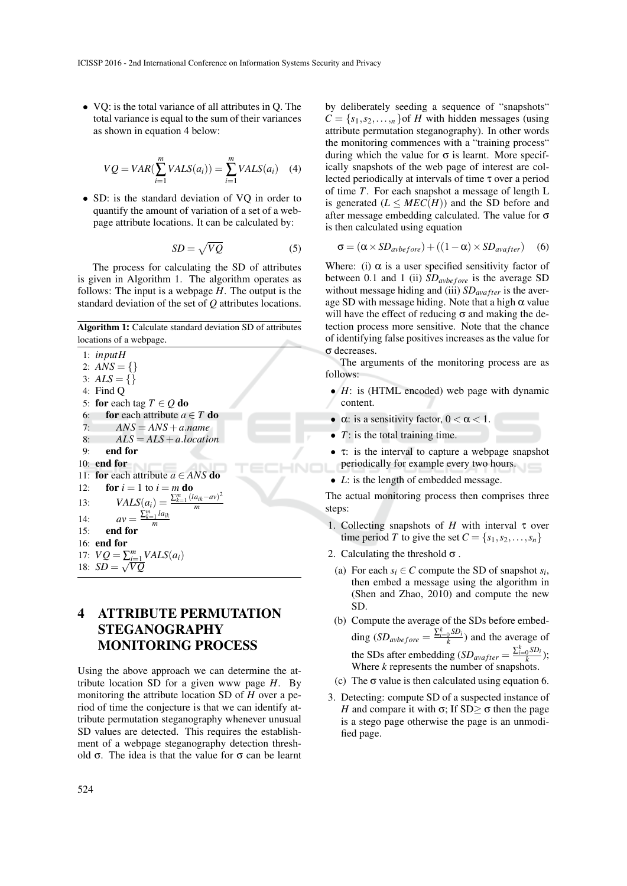• VQ: is the total variance of all attributes in Q. The total variance is equal to the sum of their variances as shown in equation 4 below:

$$
VQ = VAR(\sum_{i=1}^{m} VALS(a_i)) = \sum_{i=1}^{m} VALS(a_i) \quad (4)
$$

• SD: is the standard deviation of VQ in order to quantify the amount of variation of a set of a webpage attribute locations. It can be calculated by:

$$
SD = \sqrt{VQ} \tag{5}
$$

The process for calculating the SD of attributes is given in Algorithm 1. The algorithm operates as follows: The input is a webpage *H*. The output is the standard deviation of the set of *Q* attributes locations.

Algorithm 1: Calculate standard deviation SD of attributes locations of a webpage.

1: *inputH* 2:  $ANS = \{\}$ 3:  $ALS = \{ \}$ 4: Find Q 5: **for** each tag  $T \in Q$  **do**<br>6: **for** each attribute *a* 6: **for** each attribute  $a \in T$  **do**<br>7:  $ANS = ANS + a.name$  $ANS = ANS + a.name$ 8: *ALS* = *ALS*+*a*.*location* 9: end for 10: end for 11: **for** each attribute  $a \in ANS$  **do**<br>12: **for**  $i = 1$  to  $i = m$  **do** for  $i = 1$  to  $i = m$  do 13:  $VALS(a_i) = \frac{\sum_{k=1}^{m} (l a_{ik} - a v)^2}{m}$ *m* 14:  $av = \frac{\sum_{k=1}^{m} la_{ik}}{m}$ *m* 15: end for 16: end for 17:  $VQ = \sum_{i=1}^{m} VALS(a_i)$ 18:  $\overline{SD} = \sqrt{VQ}$ 

# 4 ATTRIBUTE PERMUTATION STEGANOGRAPHY MONITORING PROCESS

Using the above approach we can determine the attribute location SD for a given www page *H*. By monitoring the attribute location SD of *H* over a period of time the conjecture is that we can identify attribute permutation steganography whenever unusual SD values are detected. This requires the establishment of a webpage steganography detection threshold  $\sigma$ . The idea is that the value for  $\sigma$  can be learnt

by deliberately seeding a sequence of "snapshots"  $C = \{s_1, s_2, \ldots, s_n\}$  of *H* with hidden messages (using attribute permutation steganography). In other words the monitoring commences with a "training process" during which the value for  $\sigma$  is learnt. More specifically snapshots of the web page of interest are collected periodically at intervals of time τ over a period of time *T*. For each snapshot a message of length L is generated  $(L \leq MEC(H))$  and the SD before and after message embedding calculated. The value for  $\sigma$ is then calculated using equation

$$
\sigma = (\alpha \times SD_{\text{avbefore}}) + ((1 - \alpha) \times SD_{\text{avafter}})
$$
 (6)

Where: (i)  $\alpha$  is a user specified sensitivity factor of between 0.1 and 1 (ii)  $SD_{avbefore}$  is the average SD without message hiding and (iii) *SD*<sub>avafter</sub> is the average SD with message hiding. Note that a high  $\alpha$  value will have the effect of reducing σ and making the detection process more sensitive. Note that the chance of identifying false positives increases as the value for σ decreases.

The arguments of the monitoring process are as follows:

- *H*: is (HTML encoded) web page with dynamic content.
- $\alpha$ : is a sensitivity factor,  $0 < \alpha < 1$ .
- $\bullet$  *T*: is the total training time.
- $\tau$ : is the interval to capture a webpage snapshot periodically for example every two hours.
- *L*: is the length of embedded message.

The actual monitoring process then comprises three steps:

- 1. Collecting snapshots of *H* with interval τ over time period *T* to give the set  $C = \{s_1, s_2, \ldots, s_n\}$
- 2. Calculating the threshold  $\sigma$ .
	- (a) For each  $s_i \in C$  compute the SD of snapshot  $s_i$ , then embed a message using the algorithm in (Shen and Zhao, 2010) and compute the new SD.
	- (b) Compute the average of the SDs before embed- $\text{ding }(SD_{avbefore} = \frac{\sum_{i=0}^{k} SD_i}{k})$  $\frac{0^{3D_i}}{k}$ ) and the average of the SDs after embedding  $(SD_{\text{avafter}} = \frac{\sum_{i=0}^{k} SD_i}{k})$  $\frac{1}{k}$ ); Where *k* represents the number of snapshots.
- (c) The  $\sigma$  value is then calculated using equation 6.
- 3. Detecting: compute SD of a suspected instance of *H* and compare it with  $\sigma$ ; If SD $\geq \sigma$  then the page is a stego page otherwise the page is an unmodified page.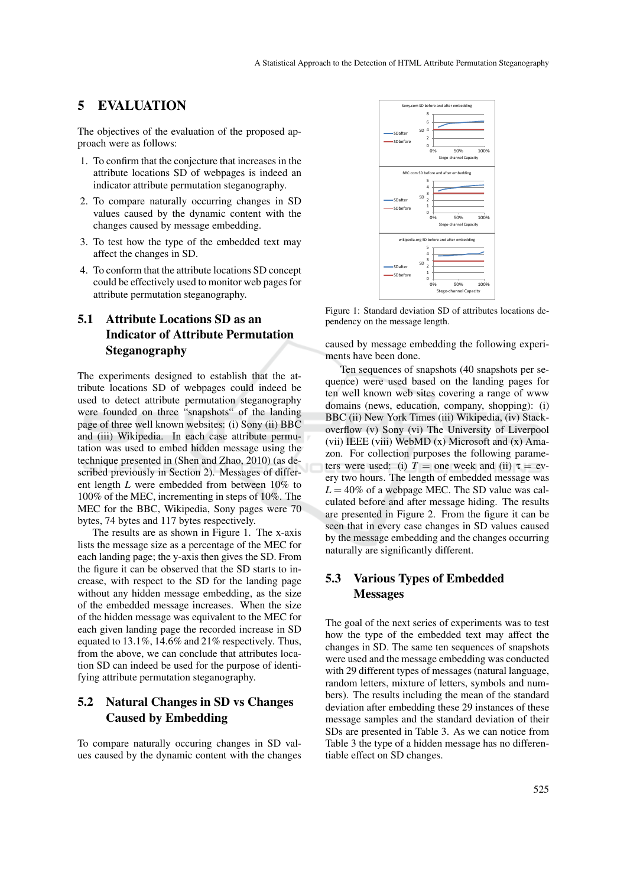#### 5 EVALUATION

The objectives of the evaluation of the proposed approach were as follows:

- 1. To confirm that the conjecture that increases in the attribute locations SD of webpages is indeed an indicator attribute permutation steganography.
- 2. To compare naturally occurring changes in SD values caused by the dynamic content with the changes caused by message embedding.
- 3. To test how the type of the embedded text may affect the changes in SD.
- 4. To conform that the attribute locations SD concept could be effectively used to monitor web pages for attribute permutation steganography.

# 5.1 Attribute Locations SD as an Indicator of Attribute Permutation Steganography

The experiments designed to establish that the attribute locations SD of webpages could indeed be used to detect attribute permutation steganography were founded on three "snapshots" of the landing page of three well known websites: (i) Sony (ii) BBC and (iii) Wikipedia. In each case attribute permutation was used to embed hidden message using the technique presented in (Shen and Zhao, 2010) (as described previously in Section 2). Messages of different length *L* were embedded from between 10% to 100% of the MEC, incrementing in steps of 10%. The MEC for the BBC, Wikipedia, Sony pages were 70 bytes, 74 bytes and 117 bytes respectively.

The results are as shown in Figure 1. The x-axis lists the message size as a percentage of the MEC for each landing page; the y-axis then gives the SD. From the figure it can be observed that the SD starts to increase, with respect to the SD for the landing page without any hidden message embedding, as the size of the embedded message increases. When the size of the hidden message was equivalent to the MEC for each given landing page the recorded increase in SD equated to 13.1%, 14.6% and 21% respectively. Thus, from the above, we can conclude that attributes location SD can indeed be used for the purpose of identifying attribute permutation steganography.

### 5.2 Natural Changes in SD vs Changes Caused by Embedding

To compare naturally occuring changes in SD values caused by the dynamic content with the changes



Figure 1: Standard deviation SD of attributes locations dependency on the message length.

caused by message embedding the following experiments have been done.

Ten sequences of snapshots (40 snapshots per sequence) were used based on the landing pages for ten well known web sites covering a range of www domains (news, education, company, shopping): (i) BBC (ii) New York Times (iii) Wikipedia, (iv) Stackoverflow (v) Sony (vi) The University of Liverpool (vii) IEEE (viii) WebMD (x) Microsoft and (x) Amazon. For collection purposes the following parameters were used: (i)  $T =$  one week and (ii)  $\tau =$  every two hours. The length of embedded message was  $L = 40\%$  of a webpage MEC. The SD value was calculated before and after message hiding. The results are presented in Figure 2. From the figure it can be seen that in every case changes in SD values caused by the message embedding and the changes occurring naturally are significantly different.

#### 5.3 Various Types of Embedded Messages

The goal of the next series of experiments was to test how the type of the embedded text may affect the changes in SD. The same ten sequences of snapshots were used and the message embedding was conducted with 29 different types of messages (natural language, random letters, mixture of letters, symbols and numbers). The results including the mean of the standard deviation after embedding these 29 instances of these message samples and the standard deviation of their SDs are presented in Table 3. As we can notice from Table 3 the type of a hidden message has no differentiable effect on SD changes.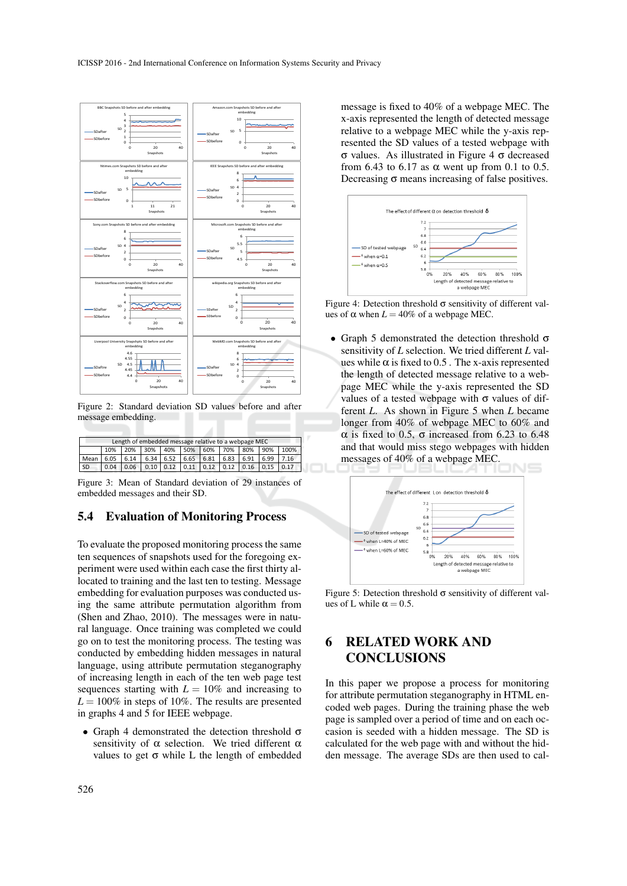

Figure 2: Standard deviation SD values before and after message embedding.

| Length of embedded message relative to a webpage MEC |      |     |                                              |  |  |  |  |  |  |      |
|------------------------------------------------------|------|-----|----------------------------------------------|--|--|--|--|--|--|------|
|                                                      | 10%  | 20% | 30%   40%   50%   60%   70%   80%   90%      |  |  |  |  |  |  | 100% |
| Mean                                                 |      |     | 6.05 6.14 6.34 6.52 6.65 6.81 6.83 6.91 6.99 |  |  |  |  |  |  | 7.16 |
| SD                                                   | 0.04 |     |                                              |  |  |  |  |  |  | 0.17 |

Figure 3: Mean of Standard deviation of 29 instances of embedded messages and their SD.

#### 5.4 Evaluation of Monitoring Process

To evaluate the proposed monitoring process the same ten sequences of snapshots used for the foregoing experiment were used within each case the first thirty allocated to training and the last ten to testing. Message embedding for evaluation purposes was conducted using the same attribute permutation algorithm from (Shen and Zhao, 2010). The messages were in natural language. Once training was completed we could go on to test the monitoring process. The testing was conducted by embedding hidden messages in natural language, using attribute permutation steganography of increasing length in each of the ten web page test sequences starting with  $L = 10\%$  and increasing to  $L = 100\%$  in steps of 10%. The results are presented in graphs 4 and 5 for IEEE webpage.

• Graph 4 demonstrated the detection threshold  $\sigma$ sensitivity of  $\alpha$  selection. We tried different  $\alpha$ values to get  $\sigma$  while L the length of embedded

message is fixed to 40% of a webpage MEC. The x-axis represented the length of detected message relative to a webpage MEC while the y-axis represented the SD values of a tested webpage with σ values. As illustrated in Figure 4 σ decreased from 6.43 to 6.17 as  $\alpha$  went up from 0.1 to 0.5. Decreasing  $\sigma$  means increasing of false positives.



Figure 4: Detection threshold  $\sigma$  sensitivity of different values of  $\alpha$  when  $L = 40\%$  of a webpage MEC.

• Graph 5 demonstrated the detection threshold  $\sigma$ sensitivity of *L* selection. We tried different *L* values while  $\alpha$  is fixed to 0.5. The x-axis represented the length of detected message relative to a webpage MEC while the y-axis represented the SD values of a tested webpage with  $\sigma$  values of different *L*. As shown in Figure 5 when *L* became longer from 40% of webpage MEC to 60% and α is fixed to 0.5, σ increased from 6.23 to 6.48 and that would miss stego webpages with hidden messages of 40% of a webpage MEC.



Figure 5: Detection threshold  $\sigma$  sensitivity of different values of L while  $\alpha = 0.5$ .

## 6 RELATED WORK AND **CONCLUSIONS**

In this paper we propose a process for monitoring for attribute permutation steganography in HTML encoded web pages. During the training phase the web page is sampled over a period of time and on each occasion is seeded with a hidden message. The SD is calculated for the web page with and without the hidden message. The average SDs are then used to cal